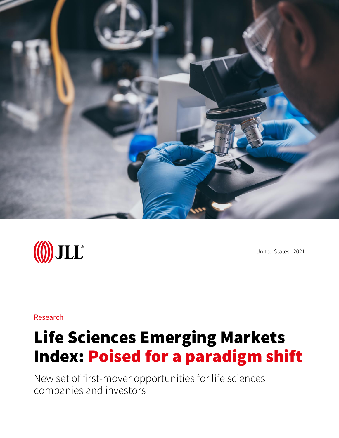



United States | 2021

Research

# Life Sciences Emerging Markets Index: Poised for a paradigm shift

New set of first-mover opportunities for life sciences companies and investors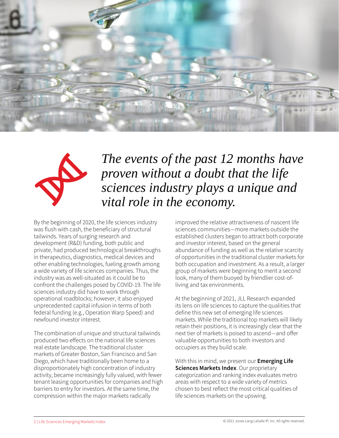



### *The events of the past 12 months have proven without a doubt that the life sciences industry plays a unique and vital role in the economy.*

By the beginning of 2020, the life sciences industry was flush with cash, the beneficiary of structural tailwinds. Years of surging research and development (R&D) funding, both public and private, had produced technological breakthroughs in therapeutics, diagnostics, medical devices and other enabling technologies, fueling growth among a wide variety of life sciences companies. Thus, the industry was as well-situated as it could be to confront the challenges posed by COVID-19. The life sciences industry did have to work through operational roadblocks; however, it also enjoyed unprecedented capital infusion in terms of both federal funding (e.g., Operation Warp Speed) and newfound investor interest.

The combination of unique and structural tailwinds produced two effects on the national life sciences real estate landscape. The traditional cluster markets of Greater Boston, San Francisco and San Diego, which have traditionally been home to a disproportionately high concentration of industry activity, became increasingly fully valued, with fewer tenant leasing opportunities for companies and high barriers to entry for investors. At the same time, the compression within the major markets radically

improved the relative attractiveness of nascent life sciences communities—more markets outside the established clusters began to attract both corporate and investor interest, based on the general abundance of funding as well as the relative scarcity of opportunities in the traditional cluster markets for both occupation and investment. As a result, a larger group of markets were beginning to merit a second look, many of them buoyed by friendlier cost-ofliving and tax environments.

At the beginning of 2021, JLL Research expanded its lens on life sciences to capture the qualities that define this new set of emerging life sciences markets. While the traditional top markets will likely retain their positions, it is increasingly clear that the next tier of markets is poised to ascend—and offer valuable opportunities to both investors and occupiers as they build scale.

With this in mind, we present our **Emerging Life Sciences Markets Index**. Our proprietary categorization and ranking index evaluates metro areas with respect to a wide variety of metrics chosen to best reflect the most critical qualities of life sciences markets on the upswing.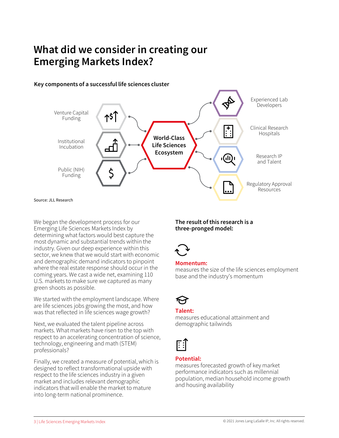### **What did we consider in creating our Emerging Markets Index?**



**Key components of a successful life sciences cluster**

We began the development process for our Emerging Life Sciences Markets Index by determining what factors would best capture the most dynamic and substantial trends within the industry. Given our deep experience within this sector, we knew that we would start with economic and demographic demand indicators to pinpoint where the real estate response should occur in the coming years. We cast a wide net, examining 110 U.S. markets to make sure we captured as many green shoots as possible.

We started with the employment landscape. Where are life sciences jobs growing the most, and how was that reflected in life sciences wage growth?

Next, we evaluated the talent pipeline across markets. What markets have risen to the top with respect to an accelerating concentration of science, technology, engineering and math (STEM) professionals?

Finally, we created a measure of potential, which is designed to reflect transformational upside with respect to the life sciences industry in a given market and includes relevant demographic indicators that will enable the market to mature into long-term national prominence.

#### **The result of this research is a three-pronged model:**



#### **Momentum:**

measures the size of the life sciences employment base and the industry's momentum

#### **Talent:**

measures educational attainment and demographic tailwinds



### **Potential:**

measures forecasted growth of key market performance indicators such as millennial population, median household income growth and housing availability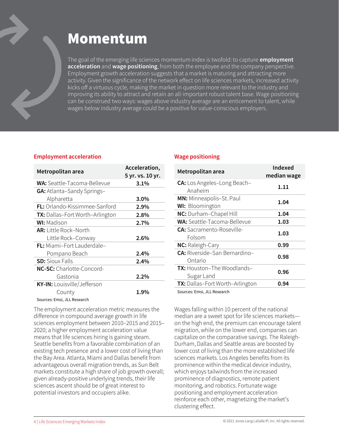## Momentum

The goal of the emerging life sciences momentum index is twofold: to capture **employment acceleration** and **wage positioning**, from both the employee and the company perspective. Employment growth acceleration suggests that a market is maturing and attracting more activity. Given the significance of the network effect on life sciences markets, increased activity kicks off a virtuous cycle, making the market in question more relevant to the industry and improving its ability to attract and retain an all-important robust talent base. Wage positioning can be construed two ways: wages above industry average are an enticement to talent, while wages below industry average could be a positive for value-conscious employers.

#### **Employment acceleration**

| Metropolitan area                      | Acceleration,    |
|----------------------------------------|------------------|
|                                        | 5 yr. vs. 10 yr. |
| <b>WA:</b> Seattle-Tacoma-Bellevue     | 3.1%             |
| <b>GA:</b> Atlanta-Sandy Springs-      |                  |
| Alpharetta                             | $3.0\%$          |
| FL: Orlando-Kissimmee-Sanford          | 2.9%             |
| <b>TX:</b> Dallas-Fort Worth-Arlington | 2.8%             |
| <b>WI:</b> Madison                     | $2.7\%$          |
| <b>AR:</b> Little Rock–North           |                  |
| Little Rock-Conway                     | 2.6%             |
| <b>FL:</b> Miami-Fort Lauderdale-      |                  |
| Pompano Beach                          | $2.4\%$          |
| <b>SD:</b> Sioux Falls                 | $2.4\%$          |
| NC-SC: Charlotte-Concord-              |                  |
| Gastonia                               | 2.2%             |
| KY-IN: Louisville/Jefferson            |                  |
| County                                 | 1.9%             |
| Sources: Emsi, JLL Research            |                  |

The employment acceleration metric measures the difference in compound average growth in life sciences employment between 2010–2015 and 2015– 2020; a higher employment acceleration value means that life sciences hiring is gaining steam. Seattle benefits from a favorable combination of an existing tech presence and a lower cost of living than the Bay Area. Atlanta, Miami and Dallas benefit from advantageous overall migration trends, as Sun Belt markets constitute a high share of job growth overall; given already-positive underlying trends, their life sciences ascent should be of great interest to potential investors and occupiers alike.

#### **Wage positioning**

| Metropolitan area                    | Indexed<br>median wage |  |
|--------------------------------------|------------------------|--|
| <b>CA:</b> Los Angeles-Long Beach-   | 1.11                   |  |
| Anaheim                              |                        |  |
| MN: Minneapolis-St. Paul             | 1.04                   |  |
| <b>WI:</b> Bloomington               |                        |  |
| NC: Durham-Chapel Hill               | 1.04                   |  |
| <b>WA:</b> Seattle-Tacoma-Bellevue   | 1.03                   |  |
| <b>CA:</b> Sacramento-Roseville-     | 1.03                   |  |
| Folsom                               |                        |  |
| NC: Raleigh-Cary                     | 0.99                   |  |
| <b>CA:</b> Riverside-San Bernardino- |                        |  |
| Ontario                              | 0.98                   |  |
| TX: Houston-The Woodlands-           |                        |  |
| Sugar Land                           | 0.96                   |  |
| TX: Dallas-Fort Worth-Arlington      | 0.94                   |  |
| Sources: Emsi, JLL Research          |                        |  |

Wages falling within 10 percent of the national median are a sweet spot for life sciences markets on the high end, the premium can encourage talent migration, while on the lower end, companies can capitalize on the comparative savings. The Raleigh-Durham, Dallas and Seattle areas are boosted by lower cost of living than the more established life sciences markets. Los Angeles benefits from its prominence within the medical device industry, which enjoys tailwinds from the increased prominence of diagnostics, remote patient monitoring, and robotics. Fortunate wage positioning and employment acceleration reinforce each other, magnetizing the market's clustering effect.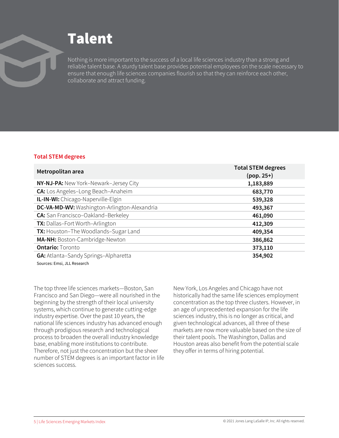# Talent

Nothing is more important to the success of a local life sciences industry than a strong and reliable talent base. A sturdy talent base provides potential employees on the scale necessary to ensure that enough life sciences companies flourish so that they can reinforce each other, collaborate and attract funding.

#### **Total STEM degrees**

| Metropolitan area                            | <b>Total STEM degrees</b><br>$(pop. 25+)$ |
|----------------------------------------------|-------------------------------------------|
| NY-NJ-PA: New York-Newark-Jersey City        | 1,183,889                                 |
| CA: Los Angeles-Long Beach-Anaheim           | 683,770                                   |
| IL-IN-WI: Chicago-Naperville-Elgin           | 539,328                                   |
| DC-VA-MD-WV: Washington-Arlington-Alexandria | 493,367                                   |
| <b>CA:</b> San Francisco-Oakland-Berkeley    | 461,090                                   |
| <b>TX:</b> Dallas-Fort Worth-Arlington       | 412,309                                   |
| TX: Houston-The Woodlands-Sugar Land         | 409,354                                   |
| MA-NH: Boston-Cambridge-Newton               | 386,862                                   |
| <b>Ontario: Toronto</b>                      | 373,110                                   |
| <b>GA: Atlanta-Sandy Springs-Alpharetta</b>  | 354,902                                   |
| Sources: Emsi, JLL Research                  |                                           |

The top three life sciences markets—Boston, San Francisco and San Diego—were all nourished in the beginning by the strength of their local university systems, which continue to generate cutting-edge industry expertise. Over the past 10 years, the national life sciences industry has advanced enough through prodigious research and technological process to broaden the overall industry knowledge base, enabling more institutions to contribute. Therefore, not just the concentration but the sheer number of STEM degrees is an important factor in life sciences success.

New York, Los Angeles and Chicago have not historically had the same life sciences employment concentration as the top three clusters. However, in an age of unprecedented expansion for the life sciences industry, this is no longer as critical, and given technological advances, all three of these markets are now more valuable based on the size of their talent pools. The Washington, Dallas and Houston areas also benefit from the potential scale they offer in terms of hiring potential.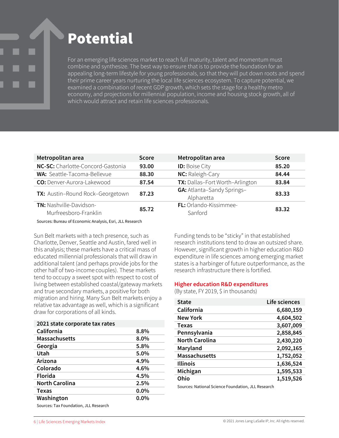# Potential

For an emerging life sciences market to reach full maturity, talent and momentum must combine and synthesize. The best way to ensure that is to provide the foundation for an appealing long-term lifestyle for young professionals, so that they will put down roots and spend their prime career years nurturing the local life sciences ecosystem. To capture potential, we examined a combination of recent GDP growth, which sets the stage for a healthy metro economy, and projections for millennial population, income and housing stock growth, all of which would attract and retain life sciences professionals.

| Metropolitan area                                       | <b>Score</b> | Metropolitan area                               | <b>Score</b> |
|---------------------------------------------------------|--------------|-------------------------------------------------|--------------|
| NC-SC: Charlotte-Concord-Gastonia                       | 93.00        | <b>ID:</b> Boise City                           | 85.20        |
| <b>WA:</b> Seattle-Tacoma-Bellevue                      | 88.30        | NC: Raleigh-Cary                                | 84.44        |
| CO: Denver-Aurora-Lakewood                              | 87.54        | TX: Dallas-Fort Worth-Arlington                 | 83.84        |
| TX: Austin-Round Rock-Georgetown                        | 87.23        | <b>GA: Atlanta-Sandy Springs-</b><br>Alpharetta | 83.33        |
| <b>TN: Nashville-Davidson-</b><br>Murfreesboro-Franklin | 85.72        | FL: Orlando-Kissimmee-<br>Sanford               | 83.32        |
|                                                         |              |                                                 |              |

Sources: Bureau of Economic Analysis, Esri, JLL Research

Sun Belt markets with a tech presence, such as Charlotte, Denver, Seattle and Austin, fared well in this analysis; these markets have a critical mass of educated millennial professionals that will draw in additional talent (and perhaps provide jobs for the other half of two-income couples). These markets tend to occupy a sweet spot with respect to cost of living between established coastal/gateway markets and true secondary markets, a positive for both migration and hiring. Many Sun Belt markets enjoy a relative tax advantage as well, which is a significant draw for corporations of all kinds.

| 2021 state corporate tax rates |         |
|--------------------------------|---------|
| California                     | 8.8%    |
| <b>Massachusetts</b>           | $8.0\%$ |
| Georgia                        | 5.8%    |
| Utah                           | 5.0%    |
| Arizona                        | 4.9%    |
| Colorado                       | 4.6%    |
| <b>Florida</b>                 | 4.5%    |
| <b>North Carolina</b>          | 2.5%    |
| <b>Texas</b>                   | $0.0\%$ |
| Washington                     | $0.0\%$ |
|                                |         |

Sources: Tax Foundation, JLL Research

Funding tends to be "sticky" in that established research institutions tend to draw an outsized share. However, significant growth in higher education R&D expenditure in life sciences among emerging market states is a harbinger of future outperformance, as the research infrastructure there is fortified.

#### **Higher education R&D expenditures**

(By state, FY 2019, \$ in thousands)

| <b>State</b>          | Life sciences |
|-----------------------|---------------|
| California            | 6,680,159     |
| <b>New York</b>       | 4,604,502     |
| Texas                 | 3,607,009     |
| Pennsylvania          | 2,858,845     |
| <b>North Carolina</b> | 2,430,220     |
| Maryland              | 2,092,165     |
| <b>Massachusetts</b>  | 1,752,052     |
| <b>Illinois</b>       | 1,636,524     |
| Michigan              | 1,595,533     |
| Ohio                  | 1,519,526     |

Sources: National Science Foundation, JLL Research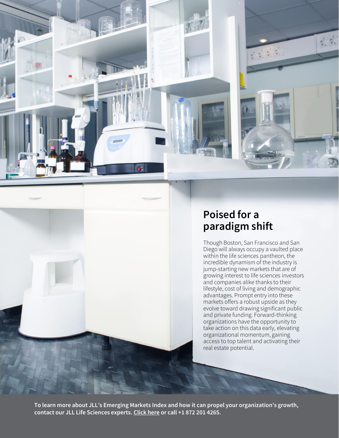

### **Poised for a paradigm shift**

Though Boston, San Francisco and San Diego will always occupy a vaulted place within the life sciences pantheon, the incredible dynamism of the industry is jump-starting new markets that are of growing interest to life sciences investors and companies alike thanks to their lifestyle, cost of living and demographic advantages. Prompt entry into these markets offers a robust upside as they evolve toward drawing significant public and private funding. Forward-thinking organizations have the opportunity to take action on this data early, elevating organizational momentum, gaining access to top talent and activating their real estate potential.

**To learn more about JLL's Emerging Markets Index and how it can propel your organization's growth, contact our JLL Life Sciences experts. [Click here](https://www.us.jll.com/en/contact-us) or call +1 872 201 4265.**